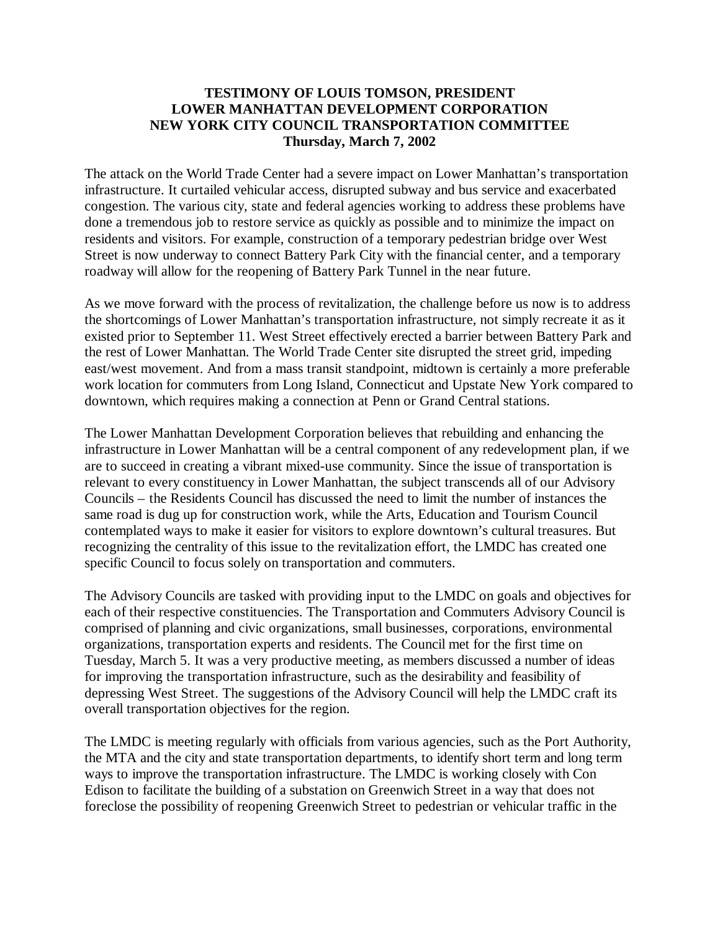## **TESTIMONY OF LOUIS TOMSON, PRESIDENT LOWER MANHATTAN DEVELOPMENT CORPORATION NEW YORK CITY COUNCIL TRANSPORTATION COMMITTEE Thursday, March 7, 2002**

The attack on the World Trade Center had a severe impact on Lower Manhattan's transportation infrastructure. It curtailed vehicular access, disrupted subway and bus service and exacerbated congestion. The various city, state and federal agencies working to address these problems have done a tremendous job to restore service as quickly as possible and to minimize the impact on residents and visitors. For example, construction of a temporary pedestrian bridge over West Street is now underway to connect Battery Park City with the financial center, and a temporary roadway will allow for the reopening of Battery Park Tunnel in the near future.

As we move forward with the process of revitalization, the challenge before us now is to address the shortcomings of Lower Manhattan's transportation infrastructure, not simply recreate it as it existed prior to September 11. West Street effectively erected a barrier between Battery Park and the rest of Lower Manhattan. The World Trade Center site disrupted the street grid, impeding east/west movement. And from a mass transit standpoint, midtown is certainly a more preferable work location for commuters from Long Island, Connecticut and Upstate New York compared to downtown, which requires making a connection at Penn or Grand Central stations.

The Lower Manhattan Development Corporation believes that rebuilding and enhancing the infrastructure in Lower Manhattan will be a central component of any redevelopment plan, if we are to succeed in creating a vibrant mixed-use community. Since the issue of transportation is relevant to every constituency in Lower Manhattan, the subject transcends all of our Advisory Councils – the Residents Council has discussed the need to limit the number of instances the same road is dug up for construction work, while the Arts, Education and Tourism Council contemplated ways to make it easier for visitors to explore downtown's cultural treasures. But recognizing the centrality of this issue to the revitalization effort, the LMDC has created one specific Council to focus solely on transportation and commuters.

The Advisory Councils are tasked with providing input to the LMDC on goals and objectives for each of their respective constituencies. The Transportation and Commuters Advisory Council is comprised of planning and civic organizations, small businesses, corporations, environmental organizations, transportation experts and residents. The Council met for the first time on Tuesday, March 5. It was a very productive meeting, as members discussed a number of ideas for improving the transportation infrastructure, such as the desirability and feasibility of depressing West Street. The suggestions of the Advisory Council will help the LMDC craft its overall transportation objectives for the region.

The LMDC is meeting regularly with officials from various agencies, such as the Port Authority, the MTA and the city and state transportation departments, to identify short term and long term ways to improve the transportation infrastructure. The LMDC is working closely with Con Edison to facilitate the building of a substation on Greenwich Street in a way that does not foreclose the possibility of reopening Greenwich Street to pedestrian or vehicular traffic in the